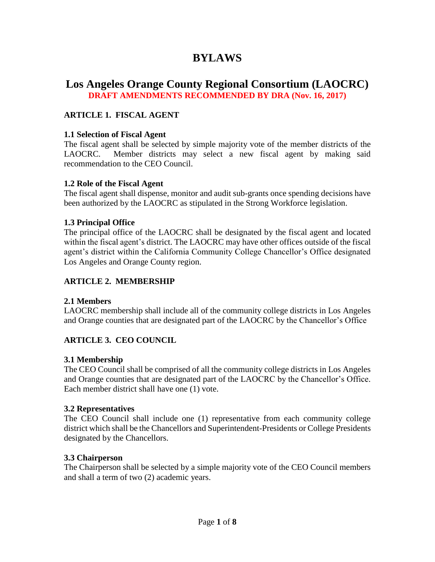# **BYLAWS**

# **Los Angeles Orange County Regional Consortium (LAOCRC) DRAFT AMENDMENTS RECOMMENDED BY DRA (Nov. 16, 2017)**

### **ARTICLE 1. FISCAL AGENT**

#### **1.1 Selection of Fiscal Agent**

The fiscal agent shall be selected by simple majority vote of the member districts of the LAOCRC. Member districts may select a new fiscal agent by making said recommendation to the CEO Council.

#### **1.2 Role of the Fiscal Agent**

The fiscal agent shall dispense, monitor and audit sub-grants once spending decisions have been authorized by the LAOCRC as stipulated in the Strong Workforce legislation.

#### **1.3 Principal Office**

The principal office of the LAOCRC shall be designated by the fiscal agent and located within the fiscal agent's district. The LAOCRC may have other offices outside of the fiscal agent's district within the California Community College Chancellor's Office designated Los Angeles and Orange County region.

#### **ARTICLE 2. MEMBERSHIP**

#### **2.1 Members**

LAOCRC membership shall include all of the community college districts in Los Angeles and Orange counties that are designated part of the LAOCRC by the Chancellor's Office

### **ARTICLE 3. CEO COUNCIL**

#### **3.1 Membership**

The CEO Council shall be comprised of all the community college districts in Los Angeles and Orange counties that are designated part of the LAOCRC by the Chancellor's Office. Each member district shall have one (1) vote.

#### **3.2 Representatives**

The CEO Council shall include one (1) representative from each community college district which shall be the Chancellors and Superintendent-Presidents or College Presidents designated by the Chancellors.

#### **3.3 Chairperson**

The Chairperson shall be selected by a simple majority vote of the CEO Council members and shall a term of two (2) academic years.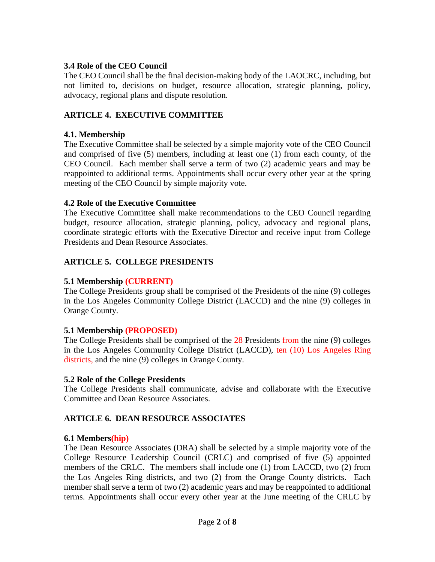### **3.4 Role of the CEO Council**

The CEO Council shall be the final decision-making body of the LAOCRC, including, but not limited to, decisions on budget, resource allocation, strategic planning, policy, advocacy, regional plans and dispute resolution.

# **ARTICLE 4. EXECUTIVE COMMITTEE**

### **4.1. Membership**

The Executive Committee shall be selected by a simple majority vote of the CEO Council and comprised of five (5) members, including at least one (1) from each county, of the CEO Council. Each member shall serve a term of two (2) academic years and may be reappointed to additional terms. Appointments shall occur every other year at the spring meeting of the CEO Council by simple majority vote.

### **4.2 Role of the Executive Committee**

The Executive Committee shall make recommendations to the CEO Council regarding budget, resource allocation, strategic planning, policy, advocacy and regional plans, coordinate strategic efforts with the Executive Director and receive input from College Presidents and Dean Resource Associates.

# **ARTICLE 5. COLLEGE PRESIDENTS**

# **5.1 Membership (CURRENT)**

The College Presidents group shall be comprised of the Presidents of the nine (9) colleges in the Los Angeles Community College District (LACCD) and the nine (9) colleges in Orange County.

#### **5.1 Membership (PROPOSED)**

The College Presidents shall be comprised of the 28 Presidents from the nine (9) colleges in the Los Angeles Community College District (LACCD), ten (10) Los Angeles Ring districts, and the nine (9) colleges in Orange County.

#### **5.2 Role of the College Presidents**

The College Presidents shall **c**ommunicate, advise and collaborate with the Executive Committee and Dean Resource Associates.

# **ARTICLE 6. DEAN RESOURCE ASSOCIATES**

#### **6.1 Members(hip)**

The Dean Resource Associates (DRA) shall be selected by a simple majority vote of the College Resource Leadership Council (CRLC) and comprised of five (5) appointed members of the CRLC. The members shall include one (1) from LACCD, two (2) from the Los Angeles Ring districts, and two (2) from the Orange County districts. Each member shall serve a term of two (2) academic years and may be reappointed to additional terms. Appointments shall occur every other year at the June meeting of the CRLC by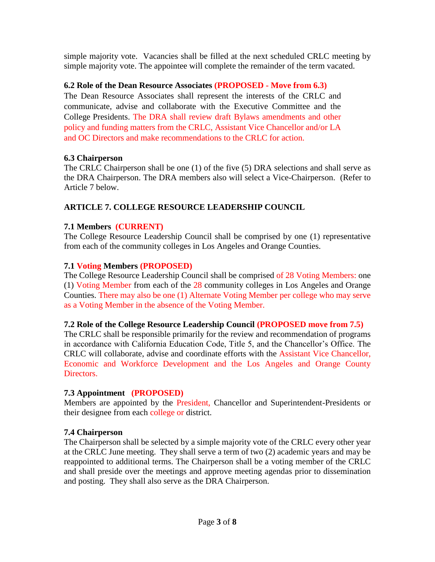simple majority vote. Vacancies shall be filled at the next scheduled CRLC meeting by simple majority vote. The appointee will complete the remainder of the term vacated.

# **6.2 Role of the Dean Resource Associates (PROPOSED - Move from 6.3)**

The Dean Resource Associates shall represent the interests of the CRLC and communicate, advise and collaborate with the Executive Committee and the College Presidents. The DRA shall review draft Bylaws amendments and other policy and funding matters from the CRLC, Assistant Vice Chancellor and/or LA and OC Directors and make recommendations to the CRLC for action.

### **6.3 Chairperson**

The CRLC Chairperson shall be one (1) of the five (5) DRA selections and shall serve as the DRA Chairperson. The DRA members also will select a Vice-Chairperson. (Refer to Article 7 below.

# **ARTICLE 7. COLLEGE RESOURCE LEADERSHIP COUNCIL**

### **7.1 Members (CURRENT)**

The College Resource Leadership Council shall be comprised by one (1) representative from each of the community colleges in Los Angeles and Orange Counties.

### **7.1 Voting Members (PROPOSED)**

The College Resource Leadership Council shall be comprised of 28 Voting Members: one (1) Voting Member from each of the 28 community colleges in Los Angeles and Orange Counties. There may also be one (1) Alternate Voting Member per college who may serve as a Voting Member in the absence of the Voting Member.

#### **7.2 Role of the College Resource Leadership Council (PROPOSED move from 7.5)**

The CRLC shall be responsible primarily for the review and recommendation of programs in accordance with California Education Code, Title 5, and the Chancellor's Office. The CRLC will collaborate, advise and coordinate efforts with the Assistant Vice Chancellor, Economic and Workforce Development and the Los Angeles and Orange County Directors.

#### **7.3 Appointment (PROPOSED)**

Members are appointed by the President, Chancellor and Superintendent-Presidents or their designee from each college or district.

# **7.4 Chairperson**

The Chairperson shall be selected by a simple majority vote of the CRLC every other year at the CRLC June meeting. They shall serve a term of two (2) academic years and may be reappointed to additional terms. The Chairperson shall be a voting member of the CRLC and shall preside over the meetings and approve meeting agendas prior to dissemination and posting. They shall also serve as the DRA Chairperson.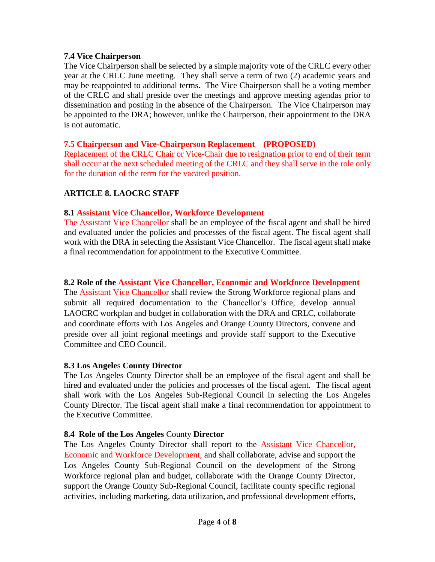### **7.4 Vice Chairperson**

The Vice Chairperson shall be selected by a simple majority vote of the CRLC every other year at the CRLC June meeting. They shall serve a term of two (2) academic years and may be reappointed to additional terms. The Vice Chairperson shall be a voting member of the CRLC and shall preside over the meetings and approve meeting agendas prior to dissemination and posting in the absence of the Chairperson. The Vice Chairperson may be appointed to the DRA; however, unlike the Chairperson, their appointment to the DRA is not automatic.

### **7.5 Chairperson and Vice-Chairperson Replacement (PROPOSED)**

Replacement of the CRLC Chair or Vice-Chair due to resignation prior to end of their term shall occur at the next scheduled meeting of the CRLC and they shall serve in the role only for the duration of the term for the vacated position.

# **ARTICLE 8. LAOCRC STAFF**

### **8.1 Assistant Vice Chancellor, Workforce Development**

The Assistant Vice Chancellor shall be an employee of the fiscal agent and shall be hired and evaluated under the policies and processes of the fiscal agent. The fiscal agent shall work with the DRA in selecting the Assistant Vice Chancellor. The fiscal agent shall make a final recommendation for appointment to the Executive Committee.

### **8.2 Role of the Assistant Vice Chancellor, Economic and Workforce Development**

The Assistant Vice Chancellor shall review the Strong Workforce regional plans and submit all required documentation to the Chancellor's Office, develop annual LAOCRC workplan and budget in collaboration with the DRA and CRLC, collaborate and coordinate efforts with Los Angeles and Orange County Directors, convene and preside over all joint regional meetings and provide staff support to the Executive Committee and CEO Council.

#### **8.3 Los Angele**s **County Director**

The Los Angeles County Director shall be an employee of the fiscal agent and shall be hired and evaluated under the policies and processes of the fiscal agent. The fiscal agent shall work with the Los Angeles Sub-Regional Council in selecting the Los Angeles County Director. The fiscal agent shall make a final recommendation for appointment to the Executive Committee.

# **8.4 Role of the Los Angeles** County **Director**

The Los Angeles County Director shall report to the Assistant Vice Chancellor, Economic and Workforce Development, and shall collaborate, advise and support the Los Angeles County Sub-Regional Council on the development of the Strong Workforce regional plan and budget, collaborate with the Orange County Director, support the Orange County Sub-Regional Council, facilitate county specific regional activities, including marketing, data utilization, and professional development efforts,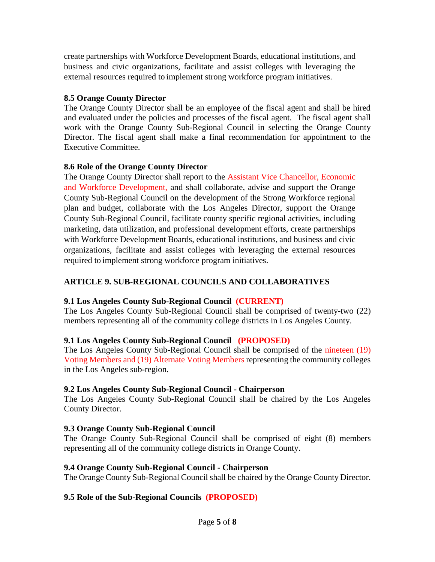create partnerships with Workforce Development Boards, educational institutions, and business and civic organizations, facilitate and assist colleges with leveraging the external resources required to implement strong workforce program initiatives.

### **8.5 Orange County Director**

The Orange County Director shall be an employee of the fiscal agent and shall be hired and evaluated under the policies and processes of the fiscal agent. The fiscal agent shall work with the Orange County Sub-Regional Council in selecting the Orange County Director. The fiscal agent shall make a final recommendation for appointment to the Executive Committee.

### **8.6 Role of the Orange County Director**

The Orange County Director shall report to the Assistant Vice Chancellor, Economic and Workforce Development, and shall collaborate, advise and support the Orange County Sub-Regional Council on the development of the Strong Workforce regional plan and budget, collaborate with the Los Angeles Director, support the Orange County Sub-Regional Council, facilitate county specific regional activities, including marketing, data utilization, and professional development efforts, create partnerships with Workforce Development Boards, educational institutions, and business and civic organizations, facilitate and assist colleges with leveraging the external resources required to implement strong workforce program initiatives.

# **ARTICLE 9. SUB-REGIONAL COUNCILS AND COLLABORATIVES**

#### **9.1 Los Angeles County Sub-Regional Council (CURRENT)**

The Los Angeles County Sub-Regional Council shall be comprised of twenty-two (22) members representing all of the community college districts in Los Angeles County.

# **9.1 Los Angeles County Sub-Regional Council (PROPOSED)**

The Los Angeles County Sub-Regional Council shall be comprised of the nineteen (19) Voting Members and (19) Alternate Voting Members representing the community colleges in the Los Angeles sub-region.

#### **9.2 Los Angeles County Sub-Regional Council - Chairperson**

The Los Angeles County Sub-Regional Council shall be chaired by the Los Angeles County Director.

# **9.3 Orange County Sub-Regional Council**

The Orange County Sub-Regional Council shall be comprised of eight (8) members representing all of the community college districts in Orange County.

#### **9.4 Orange County Sub-Regional Council - Chairperson**

The Orange County Sub-Regional Council shall be chaired by the Orange County Director.

# **9.5 Role of the Sub-Regional Councils (PROPOSED)**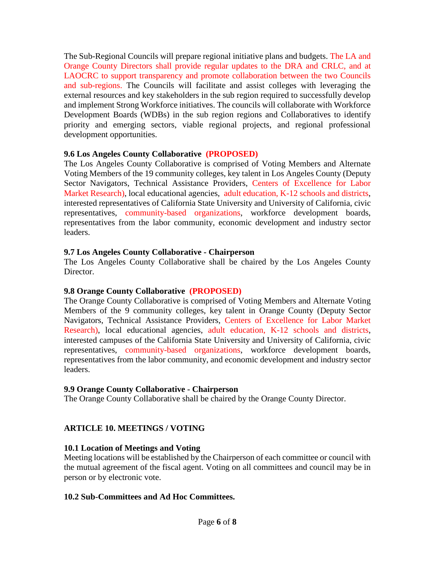The Sub-Regional Councils will prepare regional initiative plans and budgets. The LA and Orange County Directors shall provide regular updates to the DRA and CRLC, and at LAOCRC to support transparency and promote collaboration between the two Councils and sub-regions. The Councils will facilitate and assist colleges with leveraging the external resources and key stakeholders in the sub region required to successfully develop and implement Strong Workforce initiatives. The councils will collaborate with Workforce Development Boards (WDBs) in the sub region regions and Collaboratives to identify priority and emerging sectors, viable regional projects, and regional professional development opportunities.

### **9.6 Los Angeles County Collaborative (PROPOSED)**

The Los Angeles County Collaborative is comprised of Voting Members and Alternate Voting Members of the 19 community colleges, key talent in Los Angeles County (Deputy Sector Navigators, Technical Assistance Providers, Centers of Excellence for Labor Market Research), local educational agencies, adult education, K-12 schools and districts, interested representatives of California State University and University of California, civic representatives, community-based organizations, workforce development boards, representatives from the labor community, economic development and industry sector leaders.

### **9.7 Los Angeles County Collaborative - Chairperson**

The Los Angeles County Collaborative shall be chaired by the Los Angeles County Director.

# **9.8 Orange County Collaborative (PROPOSED)**

The Orange County Collaborative is comprised of Voting Members and Alternate Voting Members of the 9 community colleges, key talent in Orange County (Deputy Sector Navigators, Technical Assistance Providers, Centers of Excellence for Labor Market Research), local educational agencies, adult education, K-12 schools and districts, interested campuses of the California State University and University of California, civic representatives, community-based organizations, workforce development boards, representatives from the labor community, and economic development and industry sector leaders.

# **9.9 Orange County Collaborative - Chairperson**

The Orange County Collaborative shall be chaired by the Orange County Director.

# **ARTICLE 10. MEETINGS / VOTING**

# **10.1 Location of Meetings and Voting**

Meeting locations will be established by the Chairperson of each committee or council with the mutual agreement of the fiscal agent. Voting on all committees and council may be in person or by electronic vote.

#### **10.2 Sub-Committees and Ad Hoc Committees.**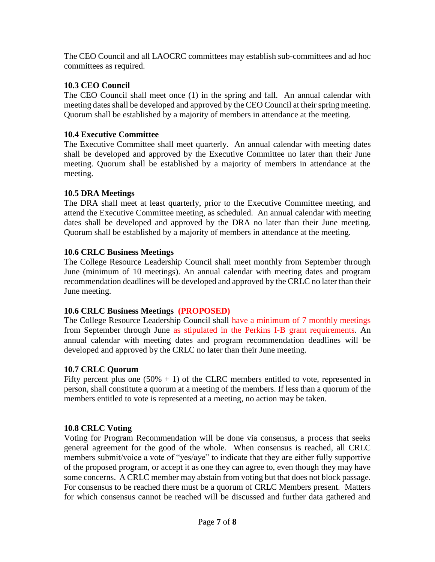The CEO Council and all LAOCRC committees may establish sub-committees and ad hoc committees as required.

### **10.3 CEO Council**

The CEO Council shall meet once (1) in the spring and fall. An annual calendar with meeting dates shall be developed and approved by the CEO Council at their spring meeting. Quorum shall be established by a majority of members in attendance at the meeting.

### **10.4 Executive Committee**

The Executive Committee shall meet quarterly. An annual calendar with meeting dates shall be developed and approved by the Executive Committee no later than their June meeting. Quorum shall be established by a majority of members in attendance at the meeting.

### **10.5 DRA Meetings**

The DRA shall meet at least quarterly, prior to the Executive Committee meeting, and attend the Executive Committee meeting, as scheduled. An annual calendar with meeting dates shall be developed and approved by the DRA no later than their June meeting. Quorum shall be established by a majority of members in attendance at the meeting.

### **10.6 CRLC Business Meetings**

The College Resource Leadership Council shall meet monthly from September through June (minimum of 10 meetings). An annual calendar with meeting dates and program recommendation deadlines will be developed and approved by the CRLC no later than their June meeting.

#### **10.6 CRLC Business Meetings (PROPOSED)**

The College Resource Leadership Council shall have a minimum of 7 monthly meetings from September through June as stipulated in the Perkins I-B grant requirements. An annual calendar with meeting dates and program recommendation deadlines will be developed and approved by the CRLC no later than their June meeting.

#### **10.7 CRLC Quorum**

Fifty percent plus one  $(50\% + 1)$  of the CLRC members entitled to vote, represented in person, shall constitute a quorum at a meeting of the members. If less than a quorum of the members entitled to vote is represented at a meeting, no action may be taken.

# **10.8 CRLC Voting**

Voting for Program Recommendation will be done via consensus, a process that seeks general agreement for the good of the whole. When consensus is reached, all CRLC members submit/voice a vote of "yes/aye" to indicate that they are either fully supportive of the proposed program, or accept it as one they can agree to, even though they may have some concerns. A CRLC member may abstain from voting but that does not block passage. For consensus to be reached there must be a quorum of CRLC Members present. Matters for which consensus cannot be reached will be discussed and further data gathered and